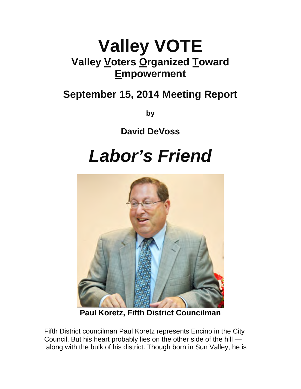### **Valley VOTE Valley Voters Organized Toward Empowerment**

### **September 15, 2014 Meeting Report**

**by**

**David DeVoss**

## *Labor's Friend*



**Paul Koretz, Fifth District Councilman**

Fifth District councilman Paul Koretz represents Encino in the City Council. But his heart probably lies on the other side of the hill along with the bulk of his district. Though born in Sun Valley, he is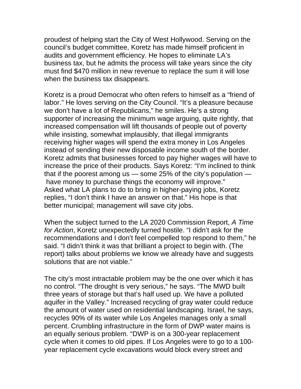proudest of helping start the City of West Hollywood. Serving on the council's budget committee, Koretz has made himself proficient in audits and government efficiency. He hopes to eliminate LA's business tax, but he admits the process will take years since the city must find \$470 million in new revenue to replace the sum it will lose when the business tax disappears.

Koretz is a proud Democrat who often refers to himself as a "friend of labor." He loves serving on the City Council. "It's a pleasure because we don't have a lot of Republicans," he smiles. He's a strong supporter of increasing the minimum wage arguing, quite rightly, that increased compensation will lift thousands of people out of poverty while insisting, somewhat implausibly, that illegal immigrants receiving higher wages will spend the extra money in Los Angeles instead of sending their new disposable income south of the border. Koretz admits that businesses forced to pay higher wages will have to increase the price of their products. Says Koretz: "I'm inclined to think that if the poorest among us — some 25% of the city's population have money to purchase things the economy will improve." Asked what LA plans to do to bring in higher-paying jobs, Koretz replies, "I don't think I have an answer on that." His hope is that better municipal; management will save city jobs.

When the subject turned to the LA 2020 Commission Report, *A Time for Action*, Koretz unexpectedly turned hostile. "I didn't ask for the recommendations and I don't feel compelled top respond to them," he said. "I didn't think it was that brilliant a project to begin with. (The report) talks about problems we know we already have and suggests solutions that are not viable."

The city's most intractable problem may be the one over which it has no control. "The drought is very serious," he says. "The MWD built three years of storage but that's half used up. We have a polluted aquifer in the Valley." Increased recycling of gray water could reduce the amount of water used on residential landscaping. Israel, he says, recycles 90% of its water while Los Angeles manages only a small percent. Crumbling infrastructure in the form of DWP water mains is an equally serious problem. "DWP is on a 300-year replacement cycle when it comes to old pipes. If Los Angeles were to go to a 100 year replacement cycle excavations would block every street and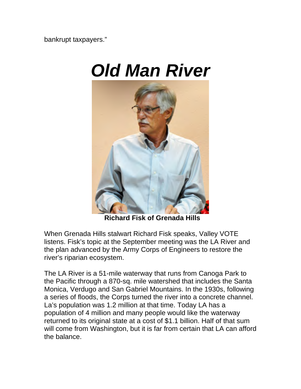bankrupt taxpayers."

# *Old Man River*



**Richard Fisk of Grenada Hills**

When Grenada Hills stalwart Richard Fisk speaks, Valley VOTE listens. Fisk's topic at the September meeting was the LA River and the plan advanced by the Army Corps of Engineers to restore the river's riparian ecosystem.

The LA River is a 51-mile waterway that runs from Canoga Park to the Pacific through a 870-sq. mile watershed that includes the Santa Monica, Verdugo and San Gabriel Mountains. In the 1930s, following a series of floods, the Corps turned the river into a concrete channel. La's population was 1.2 million at that time. Today LA has a population of 4 million and many people would like the waterway returned to its original state at a cost of \$1.1 billion. Half of that sum will come from Washington, but it is far from certain that LA can afford the balance.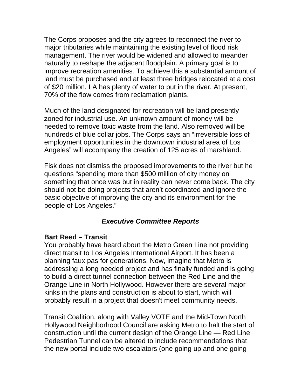The Corps proposes and the city agrees to reconnect the river to major tributaries while maintaining the existing level of flood risk management. The river would be widened and allowed to meander naturally to reshape the adjacent floodplain. A primary goal is to improve recreation amenities. To achieve this a substantial amount of land must be purchased and at least three bridges relocated at a cost of \$20 million. LA has plenty of water to put in the river. At present, 70% of the flow comes from reclamation plants.

Much of the land designated for recreation will be land presently zoned for industrial use. An unknown amount of money will be needed to remove toxic waste from the land. Also removed will be hundreds of blue collar jobs. The Corps says an "irreversible loss of employment opportunities in the downtown industrial area of Los Angeles" will accompany the creation of 125 acres of marshland.

Fisk does not dismiss the proposed improvements to the river but he questions "spending more than \$500 million of city money on something that once was but in reality can never come back. The city should not be doing projects that aren't coordinated and ignore the basic objective of improving the city and its environment for the people of Los Angeles."

#### *Executive Committee Reports*

#### **Bart Reed – Transit**

You probably have heard about the Metro Green Line not providing direct transit to Los Angeles International Airport. It has been a planning faux pas for generations. Now, imagine that Metro is addressing a long needed project and has finally funded and is going to build a direct tunnel connection between the Red Line and the Orange Line in North Hollywood. However there are several major kinks in the plans and construction is about to start, which will probably result in a project that doesn't meet community needs.

Transit Coalition, along with Valley VOTE and the Mid-Town North Hollywood Neighborhood Council are asking Metro to halt the start of construction until the current design of the Orange Line — Red Line Pedestrian Tunnel can be altered to include recommendations that the new portal include two escalators (one going up and one going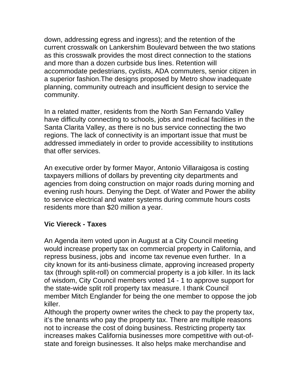down, addressing egress and ingress); and the retention of the current crosswalk on Lankershim Boulevard between the two stations as this crosswalk provides the most direct connection to the stations and more than a dozen curbside bus lines. Retention will accommodate pedestrians, cyclists, ADA commuters, senior citizen in a superior fashion.The designs proposed by Metro show inadequate planning, community outreach and insufficient design to service the community.

In a related matter, residents from the North San Fernando Valley have difficulty connecting to schools, jobs and medical facilities in the Santa Clarita Valley, as there is no bus service connecting the two regions. The lack of connectivity is an important issue that must be addressed immediately in order to provide accessibility to institutions that offer services.

An executive order by former Mayor, Antonio Villaraigosa is costing taxpayers millions of dollars by preventing city departments and agencies from doing construction on major roads during morning and evening rush hours. Denying the Dept. of Water and Power the ability to service electrical and water systems during commute hours costs residents more than \$20 million a year.

#### **Vic Viereck - Taxes**

An Agenda item voted upon in August at a City Council meeting would increase property tax on commercial property in California, and repress business, jobs and income tax revenue even further. In a city known for its anti-business climate, approving increased property tax (through split-roll) on commercial property is a job killer. In its lack of wisdom, City Council members voted 14 - 1 to approve support for the state-wide split roll property tax measure. I thank Council member Mitch Englander for being the one member to oppose the job killer.

Although the property owner writes the check to pay the property tax, it's the tenants who pay the property tax. There are multiple reasons not to increase the cost of doing business. Restricting property tax increases makes California businesses more competitive with out-ofstate and foreign businesses. It also helps make merchandise and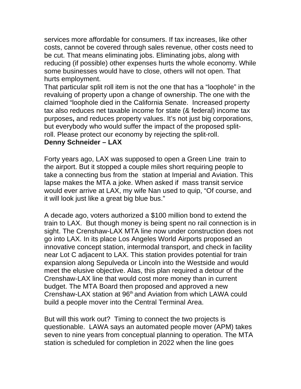services more affordable for consumers. If tax increases, like other costs, cannot be covered through sales revenue, other costs need to be cut. That means eliminating jobs. Eliminating jobs, along with reducing (if possible) other expenses hurts the whole economy. While some businesses would have to close, others will not open. That hurts employment.

That particular split roll item is not the one that has a "loophole" in the revaluing of property upon a change of ownership. The one with the claimed "loophole died in the California Senate. Increased property tax also reduces net taxable income for state (& federal) income tax purposes**,** and reduces property values. It's not just big corporations, but everybody who would suffer the impact of the proposed splitroll. Please protect our economy by rejecting the split-roll.

#### **Denny Schneider – LAX**

Forty years ago, LAX was supposed to open a Green Line train to the airport. But it stopped a couple miles short requiring people to take a connecting bus from the station at Imperial and Aviation. This lapse makes the MTA a joke. When asked if mass transit service would ever arrive at LAX, my wife Nan used to quip, "Of course, and it will look just like a great big blue bus."

A decade ago, voters authorized a \$100 million bond to extend the train to LAX. But though money is being spent no rail connection is in sight. The Crenshaw-LAX MTA line now under construction does not go into LAX. In its place Los Angeles World Airports proposed an innovative concept station, intermodal transport, and check in facility near Lot C adjacent to LAX. This station provides potential for train expansion along Sepulveda or Lincoln into the Westside and would meet the elusive objective. Alas, this plan required a detour of the Crenshaw-LAX line that would cost more money than in current budget. The MTA Board then proposed and approved a new Crenshaw-LAX station at 96<sup>th</sup> and Aviation from which LAWA could build a people mover into the Central Terminal Area.

But will this work out? Timing to connect the two projects is questionable. LAWA says an automated people mover (APM) takes seven to nine years from conceptual planning to operation. The MTA station is scheduled for completion in 2022 when the line goes